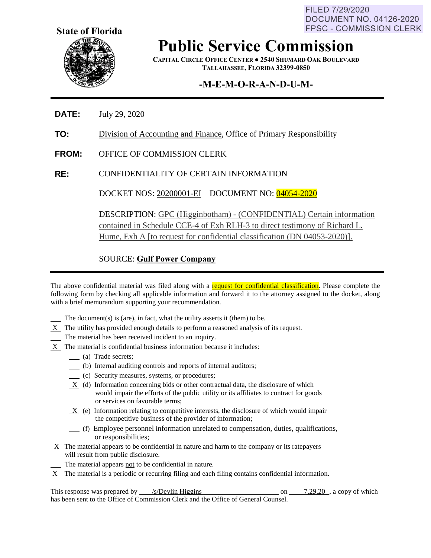FILED 7/29/2020 **DOCUMENT NO. 04126-2020 FPSC - COMMISSION CLERK** 



**Public Service Commission**

**CAPITAL CIRCLE OFFICE CENTER ● 2540 SHUMARD OAK BOULEVARD TALLAHASSEE, FLORIDA 32399-0850**

## **-M-E-M-O-R-A-N-D-U-M-**

- **DATE:** July 29, 2020
- **TO:** Division of Accounting and Finance, Office of Primary Responsibility
- **FROM:** OFFICE OF COMMISSION CLERK
- **RE:** CONFIDENTIALITY OF CERTAIN INFORMATION

DOCKET NOS: 20200001-EI DOCUMENT NO: 04054-2020

DESCRIPTION: GPC (Higginbotham) - (CONFIDENTIAL) Certain information contained in Schedule CCE-4 of Exh RLH-3 to direct testimony of Richard L. Hume, Exh A [to request for confidential classification (DN 04053-2020)].

SOURCE: **Gulf Power Company**

The above confidential material was filed along with a request for confidential classification. Please complete the following form by checking all applicable information and forward it to the attorney assigned to the docket, along with a brief memorandum supporting your recommendation.

- The document(s) is (are), in fact, what the utility asserts it (them) to be.
- $X$  The utility has provided enough details to perform a reasoned analysis of its request.
- The material has been received incident to an inquiry.
- $X$  The material is confidential business information because it includes:
	- (a) Trade secrets;
	- (b) Internal auditing controls and reports of internal auditors;
	- (c) Security measures, systems, or procedures;
	- X (d) Information concerning bids or other contractual data, the disclosure of which would impair the efforts of the public utility or its affiliates to contract for goods or services on favorable terms;
	- $X$  (e) Information relating to competitive interests, the disclosure of which would impair the competitive business of the provider of information;
	- (f) Employee personnel information unrelated to compensation, duties, qualifications, or responsibilities;
- X The material appears to be confidential in nature and harm to the company or its ratepayers will result from public disclosure.
	- The material appears not to be confidential in nature.
- X The material is a periodic or recurring filing and each filing contains confidential information.

This response was prepared by  $\frac{\text{/s/Devlin Higgsins}}{\text{Higgs}}$  on  $\frac{7.29.20}{\text{m/s}}$ , a copy of which has been sent to the Office of Commission Clerk and the Office of General Counsel.